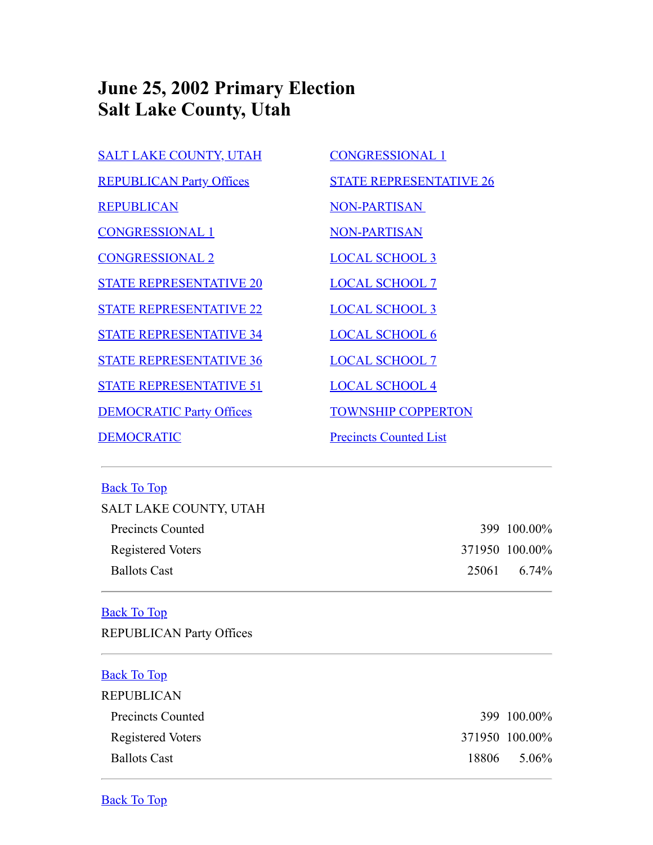# **June 25, 2002 Primary Election Salt Lake County, Utah**

| <b>SALT LAKE COUNTY, UTAH</b>   | <b>CONGRESSIONAL 1</b>         |
|---------------------------------|--------------------------------|
| <b>REPUBLICAN Party Offices</b> | <b>STATE REPRESENTATIVE 26</b> |
| <b>REPUBLICAN</b>               | <b>NON-PARTISAN</b>            |
| <b>CONGRESSIONAL 1</b>          | <b>NON-PARTISAN</b>            |
| <b>CONGRESSIONAL 2</b>          | <b>LOCAL SCHOOL 3</b>          |
| <b>STATE REPRESENTATIVE 20</b>  | <b>LOCAL SCHOOL 7</b>          |
| <b>STATE REPRESENTATIVE 22</b>  | <b>LOCAL SCHOOL 3</b>          |
| <b>STATE REPRESENTATIVE 34</b>  | <b>LOCAL SCHOOL 6</b>          |
| <b>STATE REPRESENTATIVE 36</b>  | <b>LOCAL SCHOOL 7</b>          |
| <b>STATE REPRESENTATIVE 51</b>  | <b>LOCAL SCHOOL 4</b>          |
| <b>DEMOCRATIC Party Offices</b> | <b>TOWNSHIP COPPERTON</b>      |
| <b>DEMOCRATIC</b>               | <b>Precincts Counted List</b>  |

## <span id="page-0-0"></span>Back To Top

| SALT LAKE COUNTY, UTAH |                |
|------------------------|----------------|
| Precincts Counted      | 399 100.00%    |
| Registered Voters      | 371950 100.00% |
| <b>Ballots Cast</b>    | 25061 6.74%    |
|                        |                |

## <span id="page-0-1"></span>Back To Top

REPUBLICAN Party Offices

<span id="page-0-3"></span><span id="page-0-2"></span>

| <b>Back To Top</b>  |       |                |
|---------------------|-------|----------------|
| <b>REPUBLICAN</b>   |       |                |
| Precincts Counted   |       | 399 100.00%    |
| Registered Voters   |       | 371950 100.00% |
| <b>Ballots Cast</b> | 18806 | 5.06%          |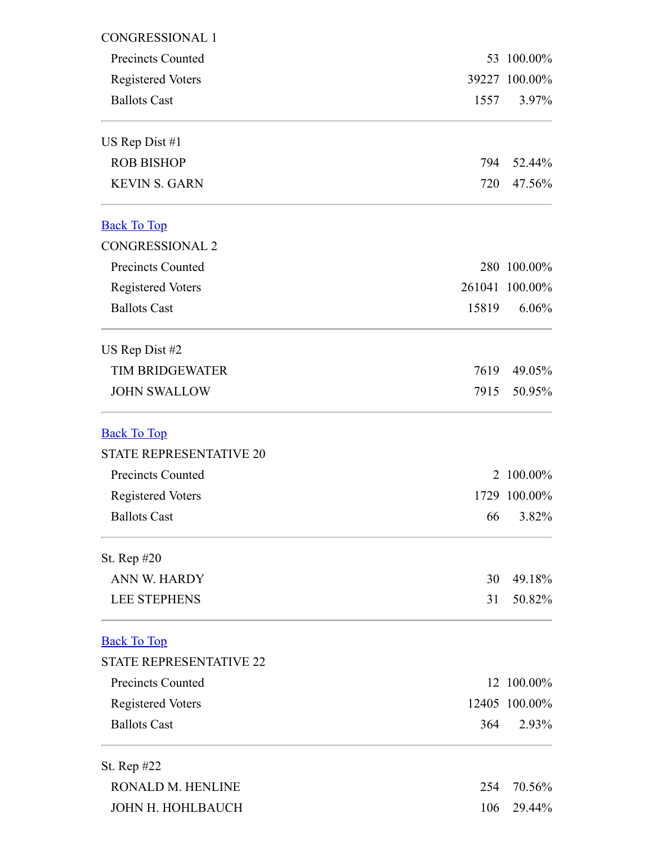<span id="page-1-2"></span><span id="page-1-1"></span><span id="page-1-0"></span>

| <b>CONGRESSIONAL 1</b>         |       |                |  |
|--------------------------------|-------|----------------|--|
| Precincts Counted              |       | 53 100.00%     |  |
| <b>Registered Voters</b>       |       | 39227 100.00%  |  |
| <b>Ballots Cast</b>            | 1557  | $3.97\%$       |  |
| US Rep Dist #1                 |       |                |  |
| <b>ROB BISHOP</b>              | 794   | 52.44%         |  |
| <b>KEVIN S. GARN</b>           | 720   | 47.56%         |  |
| <b>Back To Top</b>             |       |                |  |
| <b>CONGRESSIONAL 2</b>         |       |                |  |
| <b>Precincts Counted</b>       |       | 280 100.00%    |  |
| <b>Registered Voters</b>       |       | 261041 100.00% |  |
| <b>Ballots Cast</b>            | 15819 | 6.06%          |  |
| US Rep Dist #2                 |       |                |  |
| <b>TIM BRIDGEWATER</b>         | 7619  | 49.05%         |  |
| <b>JOHN SWALLOW</b>            | 7915  | 50.95%         |  |
| <b>Back To Top</b>             |       |                |  |
| <b>STATE REPRESENTATIVE 20</b> |       |                |  |
| <b>Precincts Counted</b>       | 2     | $100.00\%$     |  |
| <b>Registered Voters</b>       |       | 1729 100.00%   |  |
| <b>Ballots Cast</b>            | 66    | 3.82%          |  |
| St. Rep #20                    |       |                |  |
| ANN W. HARDY                   | 30    | 49.18%         |  |
| <b>LEE STEPHENS</b>            | 31    | 50.82%         |  |
| <b>Back To Top</b>             |       |                |  |
| <b>STATE REPRESENTATIVE 22</b> |       |                |  |
| <b>Precincts Counted</b>       |       | 12 100.00%     |  |
| <b>Registered Voters</b>       |       | 12405 100.00%  |  |
| <b>Ballots Cast</b>            | 364   | 2.93%          |  |
| St. Rep #22                    |       |                |  |
| RONALD M. HENLINE              | 254   | 70.56%         |  |
| JOHN H. HOHLBAUCH              | 106   | 29.44%         |  |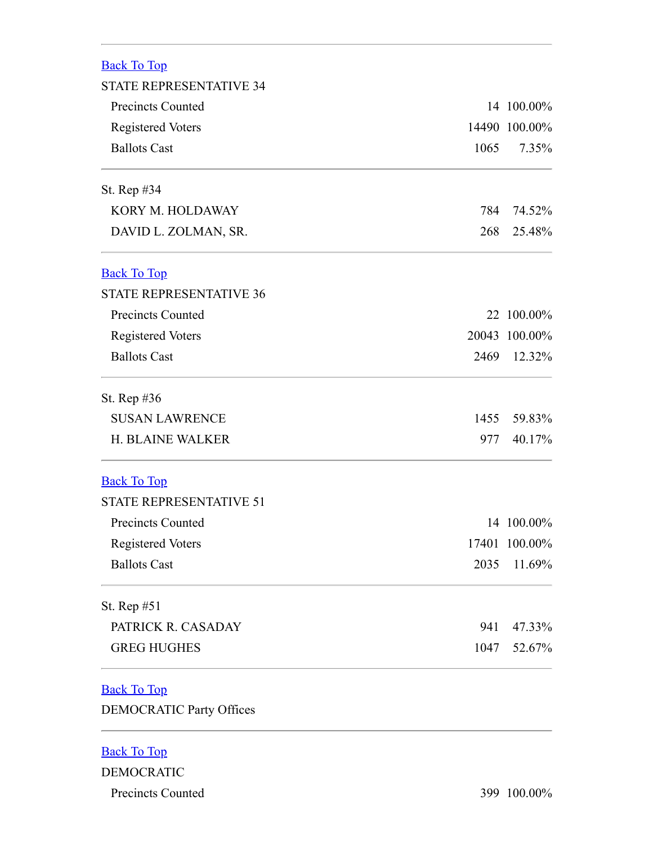<span id="page-2-1"></span><span id="page-2-0"></span>

| <b>Back To Top</b>              |      |               |
|---------------------------------|------|---------------|
| <b>STATE REPRESENTATIVE 34</b>  |      |               |
| <b>Precincts Counted</b>        |      | 14 100.00%    |
| <b>Registered Voters</b>        |      | 14490 100.00% |
| <b>Ballots Cast</b>             | 1065 | 7.35%         |
| St. Rep #34                     |      |               |
| KORY M. HOLDAWAY                | 784  | 74.52%        |
| DAVID L. ZOLMAN, SR.            | 268  | 25.48%        |
| <b>Back To Top</b>              |      |               |
| <b>STATE REPRESENTATIVE 36</b>  |      |               |
| <b>Precincts Counted</b>        |      | 22 100.00%    |
| <b>Registered Voters</b>        |      | 20043 100.00% |
| <b>Ballots Cast</b>             | 2469 | 12.32%        |
| St. Rep $#36$                   |      |               |
| <b>SUSAN LAWRENCE</b>           | 1455 | 59.83%        |
| <b>H. BLAINE WALKER</b>         | 977  | 40.17%        |
| <b>Back To Top</b>              |      |               |
| <b>STATE REPRESENTATIVE 51</b>  |      |               |
| <b>Precincts Counted</b>        |      | 14 100.00%    |
| <b>Registered Voters</b>        |      | 17401 100.00% |
| <b>Ballots Cast</b>             | 2035 | 11.69%        |
| St. Rep #51                     |      |               |
| PATRICK R. CASADAY              | 941  | 47.33%        |
| <b>GREG HUGHES</b>              | 1047 | 52.67%        |
| <b>Back To Top</b>              |      |               |
| <b>DEMOCRATIC Party Offices</b> |      |               |
|                                 |      |               |

#### <span id="page-2-4"></span><span id="page-2-3"></span><span id="page-2-2"></span>Back To Top

DEMOCRATIC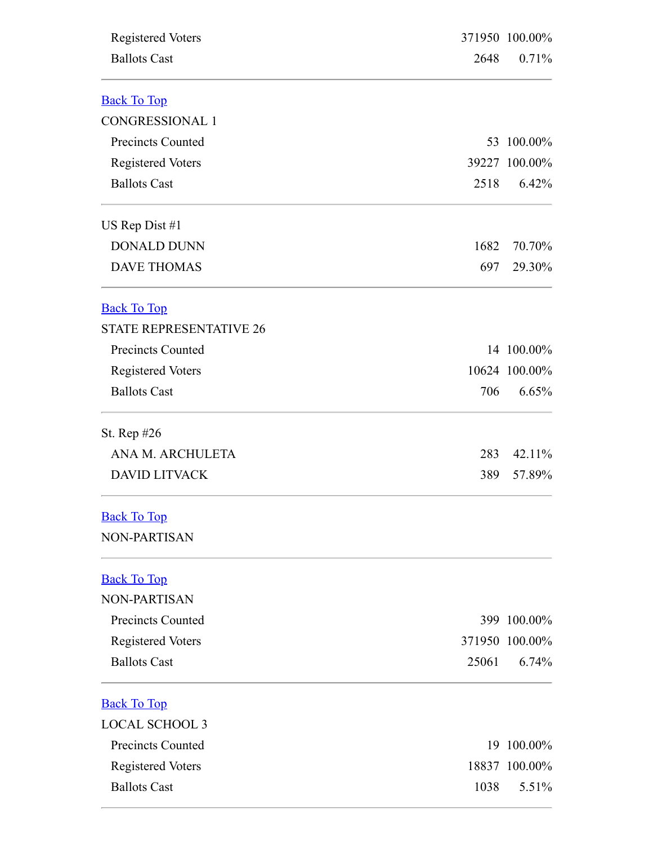<span id="page-3-4"></span><span id="page-3-3"></span><span id="page-3-2"></span><span id="page-3-1"></span><span id="page-3-0"></span>

| <b>Registered Voters</b>       |       | 371950 100.00%<br>0.71% |  |
|--------------------------------|-------|-------------------------|--|
| <b>Ballots Cast</b>            | 2648  |                         |  |
| <b>Back To Top</b>             |       |                         |  |
| <b>CONGRESSIONAL 1</b>         |       |                         |  |
| <b>Precincts Counted</b>       |       | 53 100.00%              |  |
| <b>Registered Voters</b>       |       | 39227 100.00%           |  |
| <b>Ballots Cast</b>            | 2518  | 6.42%                   |  |
| US Rep Dist $#1$               |       |                         |  |
| <b>DONALD DUNN</b>             | 1682  | 70.70%                  |  |
| <b>DAVE THOMAS</b>             | 697   | 29.30%                  |  |
| <b>Back To Top</b>             |       |                         |  |
| <b>STATE REPRESENTATIVE 26</b> |       |                         |  |
| <b>Precincts Counted</b>       |       | 14 100.00%              |  |
| <b>Registered Voters</b>       |       | 10624 100.00%           |  |
| <b>Ballots Cast</b>            | 706   | 6.65%                   |  |
| St. Rep #26                    |       |                         |  |
| ANA M. ARCHULETA               | 283   | 42.11%                  |  |
| <b>DAVID LITVACK</b>           | 389   | 57.89%                  |  |
| <b>Back To Top</b>             |       |                         |  |
| <b>NON-PARTISAN</b>            |       |                         |  |
| <b>Back To Top</b>             |       |                         |  |
| <b>NON-PARTISAN</b>            |       |                         |  |
| <b>Precincts Counted</b>       |       | 399 100.00%             |  |
| <b>Registered Voters</b>       |       | 371950 100.00%          |  |
| <b>Ballots Cast</b>            | 25061 | 6.74%                   |  |
| <b>Back To Top</b>             |       |                         |  |
| <b>LOCAL SCHOOL 3</b>          |       |                         |  |
| <b>Precincts Counted</b>       |       | 19 100.00%              |  |
| <b>Registered Voters</b>       |       | 18837 100.00%           |  |
| <b>Ballots Cast</b>            | 1038  | 5.51%                   |  |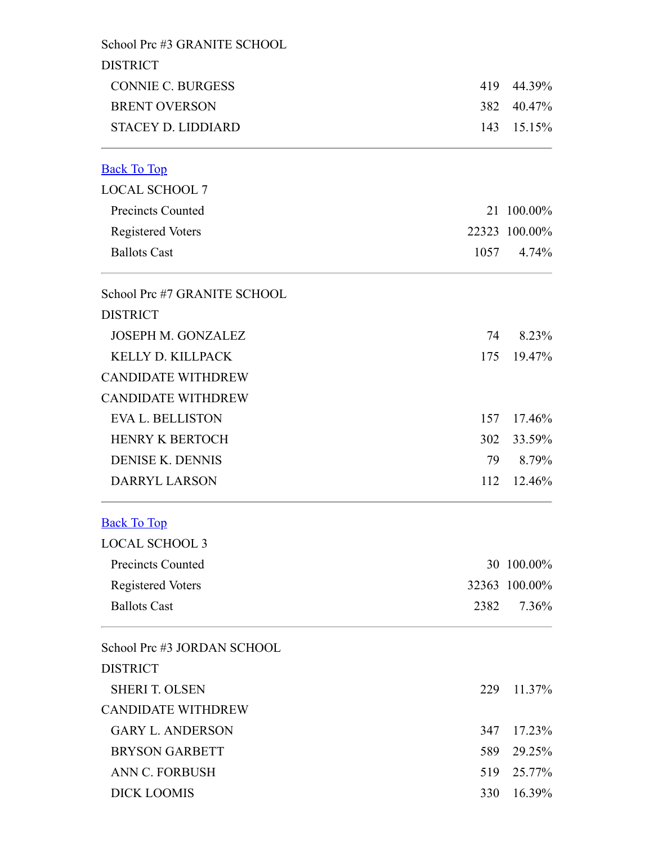<span id="page-4-1"></span><span id="page-4-0"></span>

| School Prc #3 GRANITE SCHOOL |      |               |
|------------------------------|------|---------------|
| <b>DISTRICT</b>              |      |               |
| <b>CONNIE C. BURGESS</b>     | 419  | 44.39%        |
| <b>BRENT OVERSON</b>         | 382  | 40.47%        |
| <b>STACEY D. LIDDIARD</b>    | 143  | 15.15%        |
| <b>Back To Top</b>           |      |               |
| <b>LOCAL SCHOOL 7</b>        |      |               |
| <b>Precincts Counted</b>     |      | 21 100.00%    |
| <b>Registered Voters</b>     |      | 22323 100.00% |
| <b>Ballots Cast</b>          | 1057 | 4.74%         |
| School Prc #7 GRANITE SCHOOL |      |               |
| <b>DISTRICT</b>              |      |               |
| <b>JOSEPH M. GONZALEZ</b>    |      | 74 8.23%      |
| KELLY D. KILLPACK            | 175  | 19.47%        |
| <b>CANDIDATE WITHDREW</b>    |      |               |
| <b>CANDIDATE WITHDREW</b>    |      |               |
| <b>EVA L. BELLISTON</b>      | 157  | 17.46%        |
| <b>HENRY K BERTOCH</b>       | 302  | 33.59%        |
| <b>DENISE K. DENNIS</b>      | 79   | 8.79%         |
| <b>DARRYL LARSON</b>         | 112  | 12.46%        |
| <b>Back To Top</b>           |      |               |
| <b>LOCAL SCHOOL 3</b>        |      |               |
| <b>Precincts Counted</b>     |      | 30 100.00%    |
| <b>Registered Voters</b>     |      | 32363 100.00% |
| <b>Ballots Cast</b>          | 2382 | 7.36%         |
| School Prc #3 JORDAN SCHOOL  |      |               |
| <b>DISTRICT</b>              |      |               |
| <b>SHERI T. OLSEN</b>        | 229  | 11.37%        |
| <b>CANDIDATE WITHDREW</b>    |      |               |
| <b>GARY L. ANDERSON</b>      | 347  | 17.23%        |
| <b>BRYSON GARBETT</b>        | 589  | 29.25%        |
| <b>ANN C. FORBUSH</b>        | 519  | 25.77%        |
| <b>DICK LOOMIS</b>           | 330  | 16.39%        |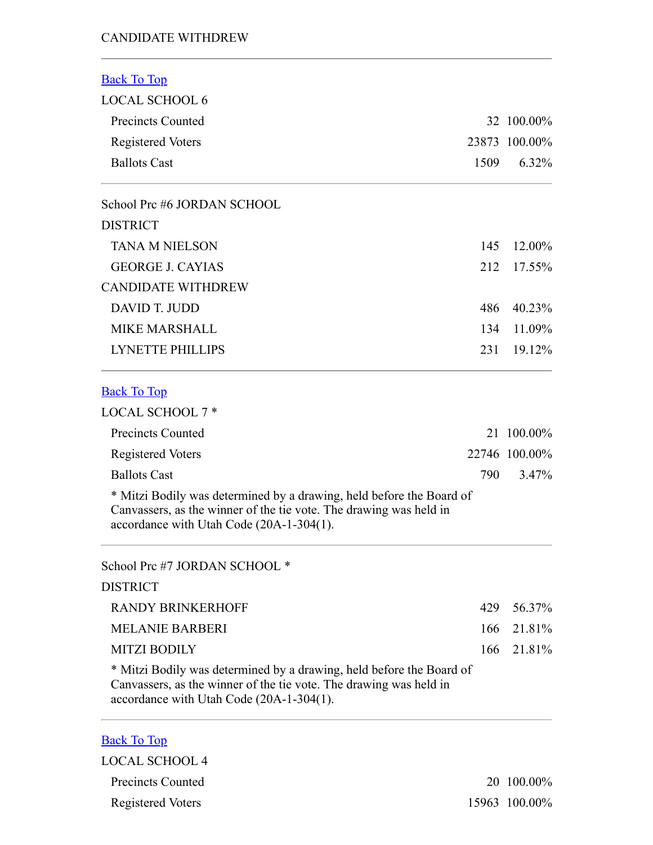#### CANDIDATE WITHDREW

<span id="page-5-1"></span><span id="page-5-0"></span>

| <b>Back To Top</b>                                                                                                                                                                     |      |               |
|----------------------------------------------------------------------------------------------------------------------------------------------------------------------------------------|------|---------------|
| <b>LOCAL SCHOOL 6</b>                                                                                                                                                                  |      |               |
| <b>Precincts Counted</b>                                                                                                                                                               |      | 32 100.00%    |
| <b>Registered Voters</b>                                                                                                                                                               |      | 23873 100.00% |
| <b>Ballots Cast</b>                                                                                                                                                                    | 1509 | $6.32\%$      |
| School Prc #6 JORDAN SCHOOL                                                                                                                                                            |      |               |
| <b>DISTRICT</b>                                                                                                                                                                        |      |               |
| <b>TANA M NIELSON</b>                                                                                                                                                                  | 145  | 12.00%        |
| <b>GEORGE J. CAYIAS</b>                                                                                                                                                                | 212  | 17.55%        |
| <b>CANDIDATE WITHDREW</b>                                                                                                                                                              |      |               |
| DAVID T. JUDD                                                                                                                                                                          | 486  | 40.23%        |
| <b>MIKE MARSHALL</b>                                                                                                                                                                   | 134  | 11.09%        |
| <b>LYNETTE PHILLIPS</b>                                                                                                                                                                | 231  | 19.12%        |
| <b>Back To Top</b>                                                                                                                                                                     |      |               |
| <b>LOCAL SCHOOL 7*</b>                                                                                                                                                                 |      |               |
| <b>Precincts Counted</b>                                                                                                                                                               |      | 21 100.00%    |
| <b>Registered Voters</b>                                                                                                                                                               |      | 22746 100.00% |
| <b>Ballots Cast</b>                                                                                                                                                                    | 790  | $3.47\%$      |
| * Mitzi Bodily was determined by a drawing, held before the Board of<br>Canvassers, as the winner of the tie vote. The drawing was held in<br>accordance with Utah Code (20A-1-304(1). |      |               |
| School Prc #7 JORDAN SCHOOL *                                                                                                                                                          |      |               |
| <b>DISTRICT</b>                                                                                                                                                                        |      |               |
| <b>RANDY BRINKERHOFF</b>                                                                                                                                                               | 429  | 56.37%        |
| <b>MELANIE BARBERI</b>                                                                                                                                                                 | 166  | 21.81%        |
| <b>MITZI BODILY</b>                                                                                                                                                                    | 166  | 21.81%        |
| * Mitzi Bodily was determined by a drawing, held before the Board of<br>Canvassers, as the winner of the tie vote. The drawing was held in<br>accordance with Utah Code (20A-1-304(1). |      |               |
|                                                                                                                                                                                        |      |               |

## <span id="page-5-2"></span>Back To Top

| LOCAL SCHOOL 4    |               |
|-------------------|---------------|
| Precincts Counted | 20 100.00%    |
| Registered Voters | 15963 100.00% |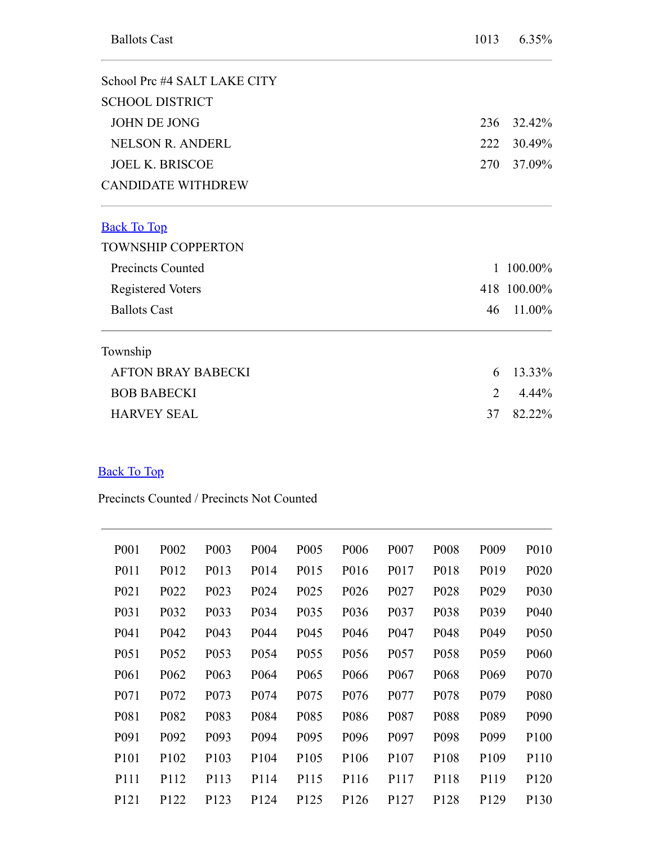<span id="page-6-0"></span>

| School Prc #4 SALT LAKE CITY |                             |             |
|------------------------------|-----------------------------|-------------|
| <b>SCHOOL DISTRICT</b>       |                             |             |
| <b>JOHN DE JONG</b>          | 236                         | 32.42%      |
| <b>NELSON R. ANDERL</b>      | 222                         | 30.49%      |
| <b>JOEL K. BRISCOE</b>       | 270                         | 37.09%      |
| <b>CANDIDATE WITHDREW</b>    |                             |             |
| <b>Back To Top</b>           |                             |             |
| <b>TOWNSHIP COPPERTON</b>    |                             |             |
| <b>Precincts Counted</b>     | $\mathbf{1}$                | 100.00%     |
| <b>Registered Voters</b>     |                             | 418 100.00% |
| <b>Ballots Cast</b>          | 46                          | 11.00%      |
| Township                     |                             |             |
| <b>AFTON BRAY BABECKI</b>    | 6                           | 13.33%      |
| <b>BOB BABECKI</b>           | $\mathcal{D}_{\mathcal{L}}$ | $4.44\%$    |
| <b>HARVEY SEAL</b>           | 37                          | 82.22%      |

## <span id="page-6-1"></span>Back To Top

Precincts Counted / Precincts Not Counted

| P <sub>001</sub>  | P <sub>002</sub>  | P <sub>00</sub> 3 | P <sub>004</sub>  | P <sub>005</sub>  | P <sub>006</sub>  | P <sub>007</sub>  | P <sub>008</sub> | P <sub>009</sub>  | P <sub>0</sub> 10 |
|-------------------|-------------------|-------------------|-------------------|-------------------|-------------------|-------------------|------------------|-------------------|-------------------|
| P <sub>011</sub>  | P012              | P <sub>0</sub> 13 | P <sub>0</sub> 14 | P <sub>0</sub> 15 | P016              | P <sub>0</sub> 17 | P018             | P <sub>0</sub> 19 | P <sub>020</sub>  |
| P <sub>021</sub>  | P <sub>022</sub>  | P <sub>023</sub>  | P <sub>024</sub>  | P <sub>025</sub>  | P <sub>026</sub>  | P <sub>027</sub>  | P <sub>028</sub> | P <sub>029</sub>  | P <sub>0</sub> 30 |
| P <sub>0</sub> 31 | P <sub>0</sub> 32 | P <sub>0</sub> 33 | P <sub>0</sub> 34 | P <sub>0</sub> 35 | P <sub>0</sub> 36 | P <sub>0</sub> 37 | P038             | P <sub>0</sub> 39 | P <sub>040</sub>  |
| P <sub>041</sub>  | P <sub>042</sub>  | P <sub>04</sub> 3 | P <sub>044</sub>  | P <sub>045</sub>  | P <sub>046</sub>  | P <sub>047</sub>  | P <sub>048</sub> | P <sub>049</sub>  | P <sub>050</sub>  |
| P <sub>051</sub>  | P <sub>052</sub>  | P053              | P <sub>054</sub>  | P <sub>055</sub>  | P <sub>056</sub>  | P <sub>057</sub>  | P058             | P <sub>059</sub>  | P <sub>060</sub>  |
| P <sub>061</sub>  | P <sub>062</sub>  | P <sub>063</sub>  | P <sub>064</sub>  | P <sub>065</sub>  | P <sub>066</sub>  | P <sub>067</sub>  | P <sub>068</sub> | P <sub>069</sub>  | P <sub>070</sub>  |
| P <sub>071</sub>  | P <sub>0</sub> 72 | P <sub>073</sub>  | P <sub>074</sub>  | P <sub>075</sub>  | P <sub>076</sub>  | P <sub>077</sub>  | P <sub>078</sub> | P <sub>079</sub>  | P <sub>0</sub> 80 |
| P <sub>081</sub>  | P <sub>0</sub> 82 | P <sub>0</sub> 83 | P084              | P085              | P <sub>0</sub> 86 | P <sub>0</sub> 87 | P088             | P089              | P <sub>090</sub>  |
| P <sub>091</sub>  | P <sub>092</sub>  | P <sub>09</sub> 3 | P094              | P <sub>095</sub>  | P096              | P <sub>097</sub>  | P098             | P <sub>099</sub>  | P <sub>100</sub>  |
| P <sub>10</sub> 1 | P <sub>102</sub>  | P <sub>103</sub>  | P <sub>104</sub>  | P <sub>105</sub>  | P <sub>106</sub>  | P <sub>107</sub>  | P <sub>108</sub> | P <sub>109</sub>  | P110              |
| P111              | P112              | P113              | P114              | P115              | P116              | P117              | P118             | P119              | P <sub>120</sub>  |
| P <sub>121</sub>  | P <sub>122</sub>  | P <sub>123</sub>  | P <sub>124</sub>  | P <sub>125</sub>  | P <sub>126</sub>  | P <sub>127</sub>  | P <sub>128</sub> | P <sub>129</sub>  | P <sub>130</sub>  |